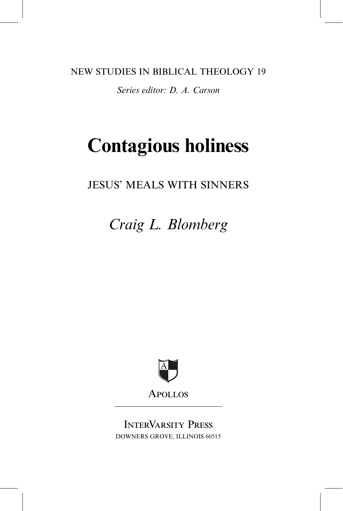NEW STUDIES IN BIBLICAL THEOLOGY 19 Series editor: D. A. Carson

Contagious holiness

### JESUS' MEALS WITH SINNERS

## Craig L. Blomberg



### InterVarsity Press

DOWNERS GROVE, ILLINOIS 60515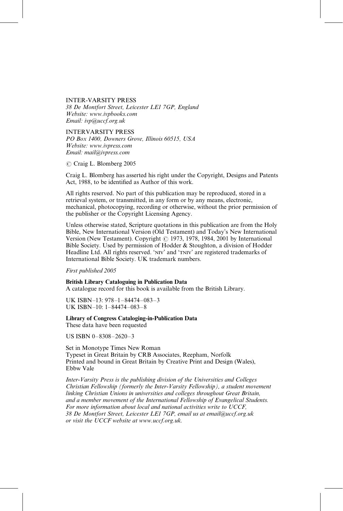#### INTER-VARSITY PRESS

38 De Montfort Street, Leicester LE1 7GP, England Website: www.ivpbooks.com Email: ivp@uccf.org.uk

#### INTERVARSITY PRESS

PO Box 1400, Downers Grove, Illinois 60515, USA Website: www.ivpress.com Email: mail@ivpress.com

 $\circ$  Craig L. Blomberg 2005

Craig L. Blomberg has asserted his right under the Copyright, Designs and Patents Act, 1988, to be identified as Author of this work.

All rights reserved. No part of this publication may be reproduced, stored in a retrieval system, or transmitted, in any form or by any means, electronic, mechanical, photocopying, recording or otherwise, without the prior permission of the publisher or the Copyright Licensing Agency.

Unless otherwise stated, Scripture quotations in this publication are from the Holy Bible, New International Version (Old Testament) and Today's New International Version (New Testament). Copyright © 1973, 1978, 1984, 2001 by International Bible Society. Used by permission of Hodder & Stoughton, a division of Hodder Headline Ltd. All rights reserved. 'NIV' and 'TNIV' are registered trademarks of International Bible Society. UK trademark numbers.

#### First published 2005

#### British Library Cataloguing in Publication Data

A catalogue record for this book is available from the British Library.

UK ISBN–13: 978–1–84474–083–3 UK ISBN–10: 1–84474–083–8

#### Library of Congress Cataloging-in-Publication Data

These data have been requested

US ISBN 0–8308–2620–3

Set in Monotype Times New Roman Typeset in Great Britain by CRB Associates, Reepham, Norfolk Printed and bound in Great Britain by Creative Print and Design (Wales), Ebbw Vale

Inter-Varsity Press is the publishing division of the Universities and Colleges Christian Fellowship (formerly the Inter-Varsity Fellowship), a student movement linking Christian Unions in universities and colleges throughout Great Britain, and a member movement of the International Fellowship of Evangelical Students. For more information about local and national activities write to UCCF, 38 De Montfort Street, Leicester LE1 7GP, email us at email@uccf.org.uk or visit the UCCF website at www.uccf.org.uk.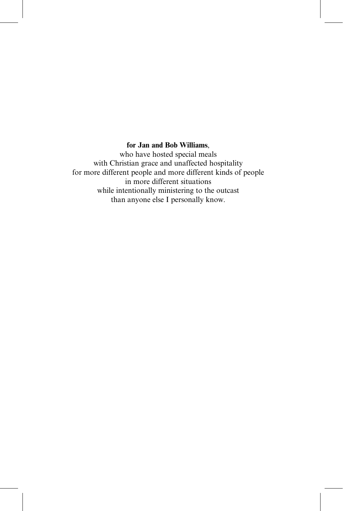#### for Jan and Bob Williams,

who have hosted special meals with Christian grace and unaffected hospitality for more different people and more different kinds of people in more different situations while intentionally ministering to the outcast than anyone else I personally know.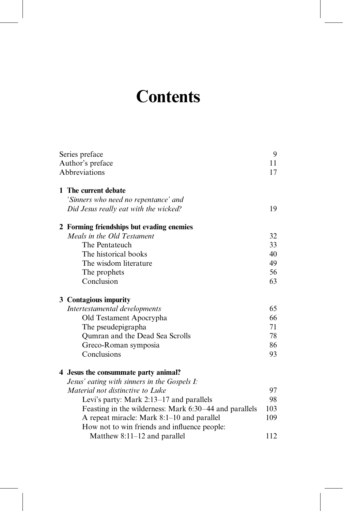# **Contents**

| Series preface   |                                                        |     |  |  |
|------------------|--------------------------------------------------------|-----|--|--|
| Author's preface |                                                        |     |  |  |
| Abbreviations    |                                                        |     |  |  |
|                  | 1 The current debate                                   |     |  |  |
|                  | 'Sinners who need no repentance' and                   |     |  |  |
|                  | Did Jesus really eat with the wicked?                  | 19  |  |  |
|                  | 2 Forming friendships but evading enemies              |     |  |  |
|                  | Meals in the Old Testament                             | 32  |  |  |
|                  | The Pentateuch                                         | 33  |  |  |
|                  | The historical books                                   | 40  |  |  |
|                  | The wisdom literature                                  | 49  |  |  |
|                  | The prophets                                           | 56  |  |  |
|                  | Conclusion                                             | 63  |  |  |
|                  | 3 Contagious impurity                                  |     |  |  |
|                  | Intertestamental developments                          | 65  |  |  |
|                  | Old Testament Apocrypha                                | 66  |  |  |
|                  | The pseudepigrapha                                     | 71  |  |  |
|                  | Qumran and the Dead Sea Scrolls                        | 78  |  |  |
|                  | Greco-Roman symposia                                   | 86  |  |  |
|                  | Conclusions                                            | 93  |  |  |
|                  | 4 Jesus the consummate party animal?                   |     |  |  |
|                  | Jesus' eating with sinners in the Gospels I:           |     |  |  |
|                  | Material not distinctive to Luke                       | 97  |  |  |
|                  | Levi's party: Mark 2:13–17 and parallels               | 98  |  |  |
|                  | Feasting in the wilderness: Mark 6:30–44 and parallels | 103 |  |  |
|                  | A repeat miracle: Mark 8:1–10 and parallel             | 109 |  |  |
|                  | How not to win friends and influence people:           |     |  |  |
|                  | Matthew 8:11–12 and parallel                           | 112 |  |  |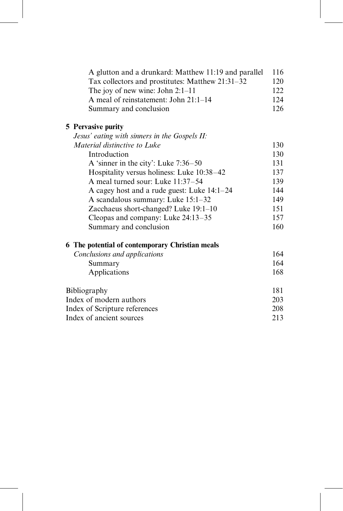| A glutton and a drunkard: Matthew 11:19 and parallel | 116 |
|------------------------------------------------------|-----|
| Tax collectors and prostitutes: Matthew $21:31-32$   | 120 |
| The joy of new wine: John $2:1-11$                   | 122 |
| A meal of reinstatement: John $21:1-14$              |     |
| Summary and conclusion                               | 126 |

### 5 Pervasive purity

| Jesus' eating with sinners in the Gospels II: |     |
|-----------------------------------------------|-----|
| Material distinctive to Luke                  | 130 |
| Introduction                                  | 130 |
| A 'sinner in the city': Luke $7:36-50$        | 131 |
| Hospitality versus holiness: Luke 10:38-42    | 137 |
| A meal turned sour: Luke $11:37-54$           | 139 |
| A cagey host and a rude guest: Luke 14:1-24   | 144 |
| A scandalous summary: Luke 15:1-32            | 149 |
| Zacchaeus short-changed? Luke 19:1-10         | 151 |
| Cleopas and company: Luke 24:13-35            | 157 |
| Summary and conclusion                        | 160 |
|                                               |     |

### 6 The potential of contemporary Christian meals

| 164 |
|-----|
| 164 |
| 168 |
|     |

| Bibliography                  | 181 |
|-------------------------------|-----|
| Index of modern authors       | 203 |
| Index of Scripture references | 208 |
| Index of ancient sources      | 213 |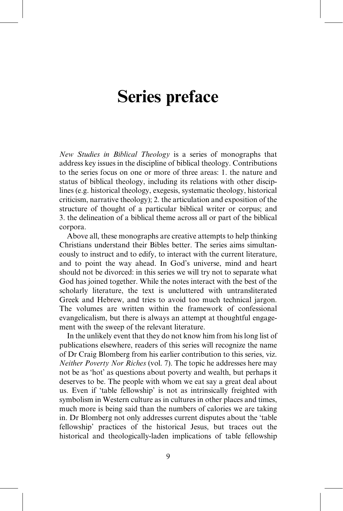## Series preface

New Studies in Biblical Theology is a series of monographs that address key issues in the discipline of biblical theology. Contributions to the series focus on one or more of three areas: 1. the nature and status of biblical theology, including its relations with other disciplines (e.g. historical theology, exegesis, systematic theology, historical criticism, narrative theology); 2. the articulation and exposition of the structure of thought of a particular biblical writer or corpus; and 3. the delineation of a biblical theme across all or part of the biblical corpora.

Above all, these monographs are creative attempts to help thinking Christians understand their Bibles better. The series aims simultaneously to instruct and to edify, to interact with the current literature, and to point the way ahead. In God's universe, mind and heart should not be divorced: in this series we will try not to separate what God has joined together. While the notes interact with the best of the scholarly literature, the text is uncluttered with untransliterated Greek and Hebrew, and tries to avoid too much technical jargon. The volumes are written within the framework of confessional evangelicalism, but there is always an attempt at thoughtful engagement with the sweep of the relevant literature.

In the unlikely event that they do not know him from his long list of publications elsewhere, readers of this series will recognize the name of Dr Craig Blomberg from his earlier contribution to this series, viz. Neither Poverty Nor Riches (vol. 7). The topic he addresses here may not be as 'hot' as questions about poverty and wealth, but perhaps it deserves to be. The people with whom we eat say a great deal about us. Even if 'table fellowship' is not as intrinsically freighted with symbolism in Western culture as in cultures in other places and times, much more is being said than the numbers of calories we are taking in. Dr Blomberg not only addresses current disputes about the 'table fellowship' practices of the historical Jesus, but traces out the historical and theologically-laden implications of table fellowship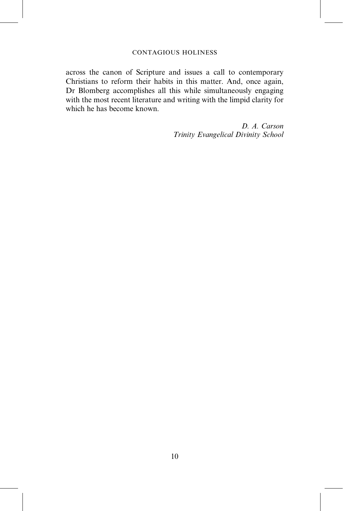across the canon of Scripture and issues a call to contemporary Christians to reform their habits in this matter. And, once again, Dr Blomberg accomplishes all this while simultaneously engaging with the most recent literature and writing with the limpid clarity for which he has become known.

> D. A. Carson Trinity Evangelical Divinity School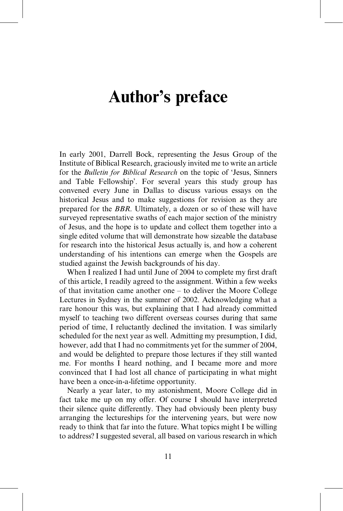## Author's preface

In early 2001, Darrell Bock, representing the Jesus Group of the Institute of Biblical Research, graciously invited me to write an article for the Bulletin for Biblical Research on the topic of 'Jesus, Sinners and Table Fellowship'. For several years this study group has convened every June in Dallas to discuss various essays on the historical Jesus and to make suggestions for revision as they are prepared for the BBR. Ultimately, a dozen or so of these will have surveyed representative swaths of each major section of the ministry of Jesus, and the hope is to update and collect them together into a single edited volume that will demonstrate how sizeable the database for research into the historical Jesus actually is, and how a coherent understanding of his intentions can emerge when the Gospels are studied against the Jewish backgrounds of his day.

When I realized I had until June of 2004 to complete my first draft of this article, I readily agreed to the assignment. Within a few weeks of that invitation came another one – to deliver the Moore College Lectures in Sydney in the summer of 2002. Acknowledging what a rare honour this was, but explaining that I had already committed myself to teaching two different overseas courses during that same period of time, I reluctantly declined the invitation. I was similarly scheduled for the next year as well. Admitting my presumption, I did, however, add that I had no commitments yet for the summer of 2004, and would be delighted to prepare those lectures if they still wanted me. For months I heard nothing, and I became more and more convinced that I had lost all chance of participating in what might have been a once-in-a-lifetime opportunity.

Nearly a year later, to my astonishment, Moore College did in fact take me up on my offer. Of course I should have interpreted their silence quite differently. They had obviously been plenty busy arranging the lectureships for the intervening years, but were now ready to think that far into the future. What topics might I be willing to address? I suggested several, all based on various research in which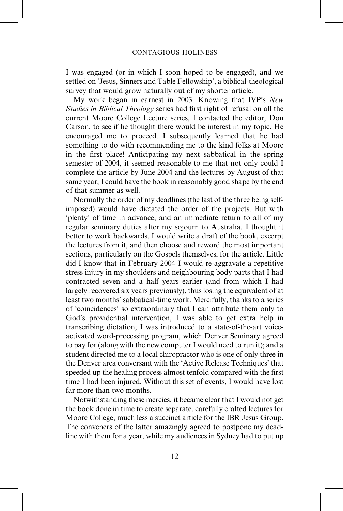I was engaged (or in which I soon hoped to be engaged), and we settled on 'Jesus, Sinners and Table Fellowship', a biblical-theological survey that would grow naturally out of my shorter article.

My work began in earnest in 2003. Knowing that IVP's New Studies in Biblical Theology series had first right of refusal on all the current Moore College Lecture series, I contacted the editor, Don Carson, to see if he thought there would be interest in my topic. He encouraged me to proceed. I subsequently learned that he had something to do with recommending me to the kind folks at Moore in the first place! Anticipating my next sabbatical in the spring semester of 2004, it seemed reasonable to me that not only could I complete the article by June 2004 and the lectures by August of that same year; I could have the book in reasonably good shape by the end of that summer as well.

Normally the order of my deadlines (the last of the three being selfimposed) would have dictated the order of the projects. But with 'plenty' of time in advance, and an immediate return to all of my regular seminary duties after my sojourn to Australia, I thought it better to work backwards. I would write a draft of the book, excerpt the lectures from it, and then choose and reword the most important sections, particularly on the Gospels themselves, for the article. Little did I know that in February 2004 I would re-aggravate a repetitive stress injury in my shoulders and neighbouring body parts that I had contracted seven and a half years earlier (and from which I had largely recovered six years previously), thus losing the equivalent of at least two months' sabbatical-time work. Mercifully, thanks to a series of 'coincidences' so extraordinary that I can attribute them only to God's providential intervention, I was able to get extra help in transcribing dictation; I was introduced to a state-of-the-art voiceactivated word-processing program, which Denver Seminary agreed to pay for (along with the new computer I would need to run it); and a student directed me to a local chiropractor who is one of only three in the Denver area conversant with the 'Active Release Techniques' that speeded up the healing process almost tenfold compared with the first time I had been injured. Without this set of events, I would have lost far more than two months.

Notwithstanding these mercies, it became clear that I would not get the book done in time to create separate, carefully crafted lectures for Moore College, much less a succinct article for the IBR Jesus Group. The conveners of the latter amazingly agreed to postpone my deadline with them for a year, while my audiences in Sydney had to put up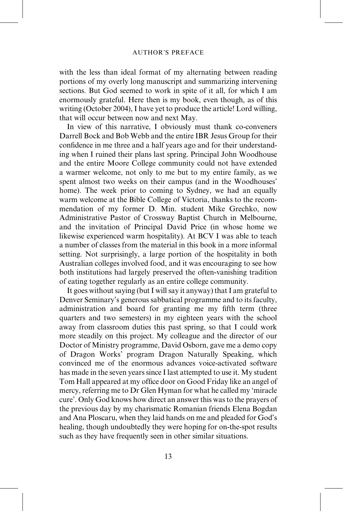with the less than ideal format of my alternating between reading portions of my overly long manuscript and summarizing intervening sections. But God seemed to work in spite of it all, for which I am enormously grateful. Here then is my book, even though, as of this writing (October 2004), I have yet to produce the article! Lord willing, that will occur between now and next May.

In view of this narrative, I obviously must thank co-conveners Darrell Bock and Bob Webb and the entire IBR Jesus Group for their confidence in me three and a half years ago and for their understanding when I ruined their plans last spring. Principal John Woodhouse and the entire Moore College community could not have extended a warmer welcome, not only to me but to my entire family, as we spent almost two weeks on their campus (and in the Woodhouses' home). The week prior to coming to Sydney, we had an equally warm welcome at the Bible College of Victoria, thanks to the recommendation of my former D. Min. student Mike Grechko, now Administrative Pastor of Crossway Baptist Church in Melbourne, and the invitation of Principal David Price (in whose home we likewise experienced warm hospitality). At BCV I was able to teach a number of classes from the material in this book in a more informal setting. Not surprisingly, a large portion of the hospitality in both Australian colleges involved food, and it was encouraging to see how both institutions had largely preserved the often-vanishing tradition of eating together regularly as an entire college community.

It goes without saying (but I will say it anyway) that I am grateful to Denver Seminary's generous sabbatical programme and to its faculty, administration and board for granting me my fifth term (three quarters and two semesters) in my eighteen years with the school away from classroom duties this past spring, so that I could work more steadily on this project. My colleague and the director of our Doctor of Ministry programme, David Osborn, gave me a demo copy of Dragon Works' program Dragon Naturally Speaking, which convinced me of the enormous advances voice-activated software has made in the seven years since I last attempted to use it. My student Tom Hall appeared at my office door on Good Friday like an angel of mercy, referring me to Dr Glen Hyman for what he called my 'miracle cure'. Only God knows how direct an answer this was to the prayers of the previous day by my charismatic Romanian friends Elena Bogdan and Ana Ploscaru, when they laid hands on me and pleaded for God's healing, though undoubtedly they were hoping for on-the-spot results such as they have frequently seen in other similar situations.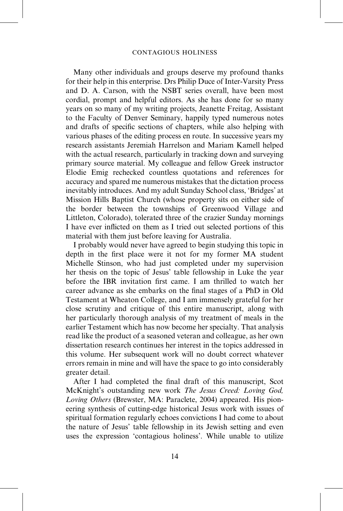Many other individuals and groups deserve my profound thanks for their help in this enterprise. Drs Philip Duce of Inter-Varsity Press and D. A. Carson, with the NSBT series overall, have been most cordial, prompt and helpful editors. As she has done for so many years on so many of my writing projects, Jeanette Freitag, Assistant to the Faculty of Denver Seminary, happily typed numerous notes and drafts of specific sections of chapters, while also helping with various phases of the editing process en route. In successive years my research assistants Jeremiah Harrelson and Mariam Kamell helped with the actual research, particularly in tracking down and surveying primary source material. My colleague and fellow Greek instructor Elodie Emig rechecked countless quotations and references for accuracy and spared me numerous mistakes that the dictation process inevitably introduces. And my adult Sunday School class, 'Bridges' at Mission Hills Baptist Church (whose property sits on either side of the border between the townships of Greenwood Village and Littleton, Colorado), tolerated three of the crazier Sunday mornings I have ever inflicted on them as I tried out selected portions of this material with them just before leaving for Australia.

I probably would never have agreed to begin studying this topic in depth in the first place were it not for my former MA student Michelle Stinson, who had just completed under my supervision her thesis on the topic of Jesus' table fellowship in Luke the year before the IBR invitation first came. I am thrilled to watch her career advance as she embarks on the final stages of a PhD in Old Testament at Wheaton College, and I am immensely grateful for her close scrutiny and critique of this entire manuscript, along with her particularly thorough analysis of my treatment of meals in the earlier Testament which has now become her specialty. That analysis read like the product of a seasoned veteran and colleague, as her own dissertation research continues her interest in the topics addressed in this volume. Her subsequent work will no doubt correct whatever errors remain in mine and will have the space to go into considerably greater detail.

After I had completed the final draft of this manuscript, Scot McKnight's outstanding new work The Jesus Creed: Loving God, Loving Others (Brewster, MA: Paraclete, 2004) appeared. His pioneering synthesis of cutting-edge historical Jesus work with issues of spiritual formation regularly echoes convictions I had come to about the nature of Jesus' table fellowship in its Jewish setting and even uses the expression 'contagious holiness'. While unable to utilize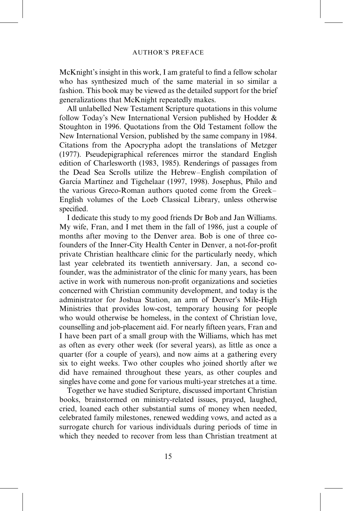McKnight's insight in this work, I am grateful to find a fellow scholar who has synthesized much of the same material in so similar a fashion. This book may be viewed as the detailed support for the brief generalizations that McKnight repeatedly makes.

All unlabelled New Testament Scripture quotations in this volume follow Today's New International Version published by Hodder & Stoughton in 1996. Quotations from the Old Testament follow the New International Version, published by the same company in 1984. Citations from the Apocrypha adopt the translations of Metzger (1977). Pseudepigraphical references mirror the standard English edition of Charlesworth (1983, 1985). Renderings of passages from the Dead Sea Scrolls utilize the Hebrew–English compilation of García Martínez and Tigchelaar (1997, 1998). Josephus, Philo and the various Greco-Roman authors quoted come from the Greek– English volumes of the Loeb Classical Library, unless otherwise specified.

I dedicate this study to my good friends Dr Bob and Jan Williams. My wife, Fran, and I met them in the fall of 1986, just a couple of months after moving to the Denver area. Bob is one of three cofounders of the Inner-City Health Center in Denver, a not-for-profit private Christian healthcare clinic for the particularly needy, which last year celebrated its twentieth anniversary. Jan, a second cofounder, was the administrator of the clinic for many years, has been active in work with numerous non-profit organizations and societies concerned with Christian community development, and today is the administrator for Joshua Station, an arm of Denver's Mile-High Ministries that provides low-cost, temporary housing for people who would otherwise be homeless, in the context of Christian love, counselling and job-placement aid. For nearly fifteen years, Fran and I have been part of a small group with the Williams, which has met as often as every other week (for several years), as little as once a quarter (for a couple of years), and now aims at a gathering every six to eight weeks. Two other couples who joined shortly after we did have remained throughout these years, as other couples and singles have come and gone for various multi-year stretches at a time.

Together we have studied Scripture, discussed important Christian books, brainstormed on ministry-related issues, prayed, laughed, cried, loaned each other substantial sums of money when needed, celebrated family milestones, renewed wedding vows, and acted as a surrogate church for various individuals during periods of time in which they needed to recover from less than Christian treatment at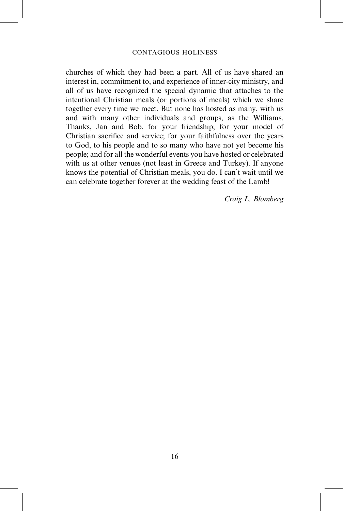churches of which they had been a part. All of us have shared an interest in, commitment to, and experience of inner-city ministry, and all of us have recognized the special dynamic that attaches to the intentional Christian meals (or portions of meals) which we share together every time we meet. But none has hosted as many, with us and with many other individuals and groups, as the Williams. Thanks, Jan and Bob, for your friendship; for your model of Christian sacrifice and service; for your faithfulness over the years to God, to his people and to so many who have not yet become his people; and for all the wonderful events you have hosted or celebrated with us at other venues (not least in Greece and Turkey). If anyone knows the potential of Christian meals, you do. I can't wait until we can celebrate together forever at the wedding feast of the Lamb!

Craig L. Blomberg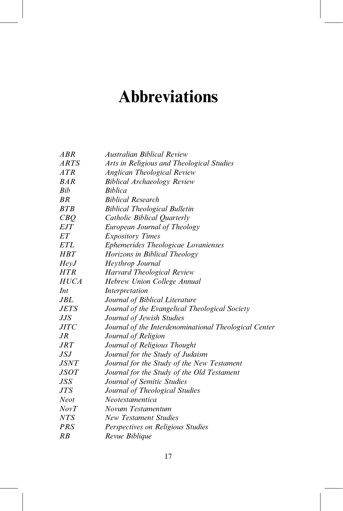# Abbreviations

| A B R          | Australian Biblical Review                            |
|----------------|-------------------------------------------------------|
| ARTS           | Arts in Religious and Theological Studies             |
| ATR            | <b>Anglican Theological Review</b>                    |
| <b>BAR</b>     | <b>Biblical Archaeology Review</b>                    |
| Bib            | <b>Biblica</b>                                        |
| BR             | <b>Biblical Research</b>                              |
| <b>BTB</b>     | <b>Biblical Theological Bulletin</b>                  |
| CBQ            | Catholic Biblical Quarterly                           |
| EJT            | European Journal of Theology                          |
| EТ             | <b>Expository Times</b>                               |
| ETL            | Ephemerides Theologicae Lovanienses                   |
| <b>HBT</b>     | Horizons in Biblical Theology                         |
| HeyJ           | Heythrop Journal                                      |
| <b>HTR</b>     | <b>Harvard Theological Review</b>                     |
| <b>HUCA</b>    | Hebrew Union College Annual                           |
| Int            | Interpretation                                        |
| JBL.           | Journal of Biblical Literature                        |
| <i>JETS</i>    | Journal of the Evangelical Theological Society        |
| JJS            | Journal of Jewish Studies                             |
| JITC           | Journal of the Interdenominational Theological Center |
| $J\mathcal{R}$ | Journal of Religion                                   |
| JRT            | Journal of Religious Thought                          |
| JSJ            | Journal for the Study of Judaism                      |
| <i>JSNT</i>    | Journal for the Study of the New Testament            |
| <i>JSOT</i>    | Journal for the Study of the Old Testament            |
| JSS            | Journal of Semitic Studies                            |
| JTS            | Journal of Theological Studies                        |
| <b>Neot</b>    | <i>Neotestamentica</i>                                |
| NovT           | Novum Testamentum                                     |
| NTS            | New Testament Studies                                 |
| <b>PRS</b>     | Perspectives on Religious Studies                     |
| RB             | Revue Biblique                                        |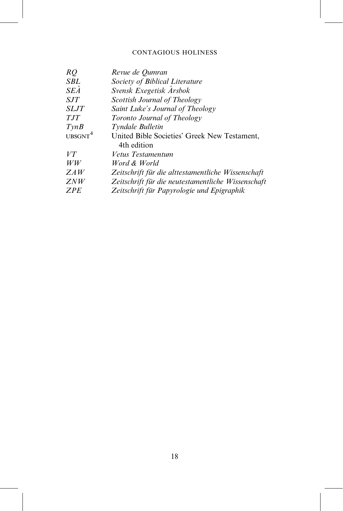| RO                  | Revue de Oumran                                    |
|---------------------|----------------------------------------------------|
| <b>SBL</b>          | Society of Biblical Literature                     |
| <b>SEÅ</b>          | Svensk Exegetisk Årsbok                            |
| <i>SJT</i>          | Scottish Journal of Theology                       |
| <i>SLJT</i>         | Saint Luke's Journal of Theology                   |
| T.JT                | Toronto Journal of Theology                        |
| TynB                | Tyndale Bulletin                                   |
| UBSGNT <sup>4</sup> | United Bible Societies' Greek New Testament,       |
|                     | 4th edition                                        |
| VT                  | Vetus Testamentum                                  |
| WW                  | Word & World                                       |
| ZAW                 | Zeitschrift für die alttestamentliche Wissenschaft |
| ZNW                 | Zeitschrift für die neutestamentliche Wissenschaft |
| <b>ZPE</b>          | Zeitschrift für Papyrologie und Epigraphik         |
|                     |                                                    |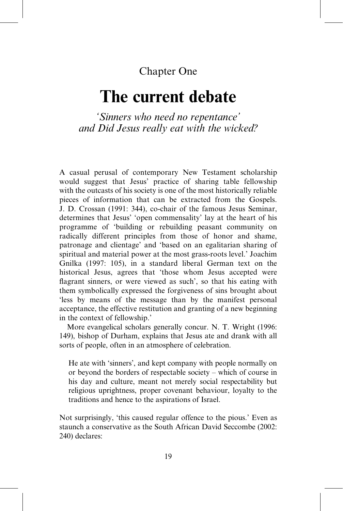### Chapter One

## The current debate

'Sinners who need no repentance' and Did Jesus really eat with the wicked?

A casual perusal of contemporary New Testament scholarship would suggest that Jesus' practice of sharing table fellowship with the outcasts of his society is one of the most historically reliable pieces of information that can be extracted from the Gospels. J. D. Crossan (1991: 344), co-chair of the famous Jesus Seminar, determines that Jesus' 'open commensality' lay at the heart of his programme of 'building or rebuilding peasant community on radically different principles from those of honor and shame, patronage and clientage' and 'based on an egalitarian sharing of spiritual and material power at the most grass-roots level.' Joachim Gnilka (1997: 105), in a standard liberal German text on the historical Jesus, agrees that 'those whom Jesus accepted were flagrant sinners, or were viewed as such', so that his eating with them symbolically expressed the forgiveness of sins brought about 'less by means of the message than by the manifest personal acceptance, the effective restitution and granting of a new beginning in the context of fellowship.'

More evangelical scholars generally concur. N. T. Wright (1996: 149), bishop of Durham, explains that Jesus ate and drank with all sorts of people, often in an atmosphere of celebration.

He ate with 'sinners', and kept company with people normally on or beyond the borders of respectable society – which of course in his day and culture, meant not merely social respectability but religious uprightness, proper covenant behaviour, loyalty to the traditions and hence to the aspirations of Israel.

Not surprisingly, 'this caused regular offence to the pious.' Even as staunch a conservative as the South African David Seccombe (2002: 240) declares: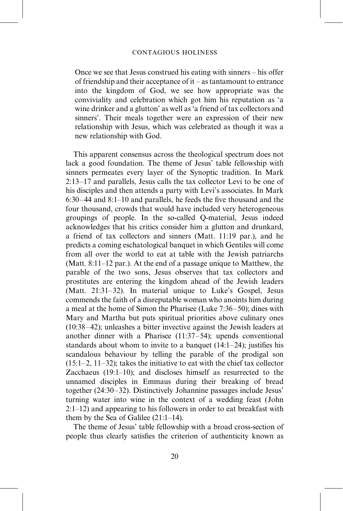Once we see that Jesus construed his eating with sinners – his offer of friendship and their acceptance of it – as tantamount to entrance into the kingdom of God, we see how appropriate was the conviviality and celebration which got him his reputation as 'a wine drinker and a glutton' as well as 'a friend of tax collectors and sinners'. Their meals together were an expression of their new relationship with Jesus, which was celebrated as though it was a new relationship with God.

This apparent consensus across the theological spectrum does not lack a good foundation. The theme of Jesus' table fellowship with sinners permeates every layer of the Synoptic tradition. In Mark 2:13–17 and parallels, Jesus calls the tax collector Levi to be one of his disciples and then attends a party with Levi's associates. In Mark 6:30–44 and 8:1–10 and parallels, he feeds the five thousand and the four thousand, crowds that would have included very heterogeneous groupings of people. In the so-called Q-material, Jesus indeed acknowledges that his critics consider him a glutton and drunkard, a friend of tax collectors and sinners (Matt. 11:19 par.), and he predicts a coming eschatological banquet in which Gentiles will come from all over the world to eat at table with the Jewish patriarchs (Matt. 8:11–12 par.). At the end of a passage unique to Matthew, the parable of the two sons, Jesus observes that tax collectors and prostitutes are entering the kingdom ahead of the Jewish leaders (Matt. 21:31–32). In material unique to Luke's Gospel, Jesus commends the faith of a disreputable woman who anoints him during a meal at the home of Simon the Pharisee (Luke 7:36–50); dines with Mary and Martha but puts spiritual priorities above culinary ones (10:38–42); unleashes a bitter invective against the Jewish leaders at another dinner with a Pharisee (11:37–54); upends conventional standards about whom to invite to a banquet  $(14:1-24)$ ; justifies his scandalous behaviour by telling the parable of the prodigal son (15:1–2, 11–32); takes the initiative to eat with the chief tax collector Zacchaeus (19:1–10); and discloses himself as resurrected to the unnamed disciples in Emmaus during their breaking of bread together (24:30–32). Distinctively Johannine passages include Jesus' turning water into wine in the context of a wedding feast (John 2:1–12) and appearing to his followers in order to eat breakfast with them by the Sea of Galilee (21:1–14).

The theme of Jesus' table fellowship with a broad cross-section of people thus clearly satisfies the criterion of authenticity known as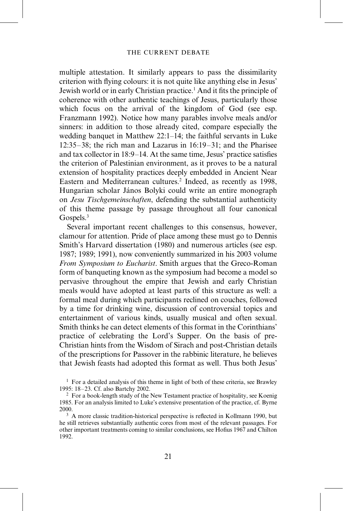#### THE CURRENT DEBATE

multiple attestation. It similarly appears to pass the dissimilarity criterion with flying colours: it is not quite like anything else in Jesus' Jewish world or in early Christian practice.<sup>1</sup> And it fits the principle of coherence with other authentic teachings of Jesus, particularly those which focus on the arrival of the kingdom of God (see esp. Franzmann 1992). Notice how many parables involve meals and/or sinners: in addition to those already cited, compare especially the wedding banquet in Matthew 22:1–14; the faithful servants in Luke 12:35–38; the rich man and Lazarus in 16:19–31; and the Pharisee and tax collector in 18:9–14. At the same time, Jesus' practice satisfies the criterion of Palestinian environment, as it proves to be a natural extension of hospitality practices deeply embedded in Ancient Near Eastern and Mediterranean cultures.<sup>2</sup> Indeed, as recently as 1998, Hungarian scholar János Bolyki could write an entire monograph on Jesu Tischgemeinschaften, defending the substantial authenticity of this theme passage by passage throughout all four canonical Gospels.<sup>3</sup>

Several important recent challenges to this consensus, however, clamour for attention. Pride of place among these must go to Dennis Smith's Harvard dissertation (1980) and numerous articles (see esp. 1987; 1989; 1991), now conveniently summarized in his 2003 volume From Symposium to Eucharist. Smith argues that the Greco-Roman form of banqueting known as the symposium had become a model so pervasive throughout the empire that Jewish and early Christian meals would have adopted at least parts of this structure as well: a formal meal during which participants reclined on couches, followed by a time for drinking wine, discussion of controversial topics and entertainment of various kinds, usually musical and often sexual. Smith thinks he can detect elements of this format in the Corinthians' practice of celebrating the Lord's Supper. On the basis of pre-Christian hints from the Wisdom of Sirach and post-Christian details of the prescriptions for Passover in the rabbinic literature, he believes that Jewish feasts had adopted this format as well. Thus both Jesus'

<sup>&</sup>lt;sup>1</sup> For a detailed analysis of this theme in light of both of these criteria, see Brawley 1995: 18–23. Cf. also Bartchy 2002.

<sup>2</sup> For a book-length study of the New Testament practice of hospitality, see Koenig 1985. For an analysis limited to Luke's extensive presentation of the practice, cf. Byrne 2000.

<sup>&</sup>lt;sup>3</sup> A more classic tradition-historical perspective is reflected in Kollmann 1990, but he still retrieves substantially authentic cores from most of the relevant passages. For other important treatments coming to similar conclusions, see Hofius 1967 and Chilton 1992.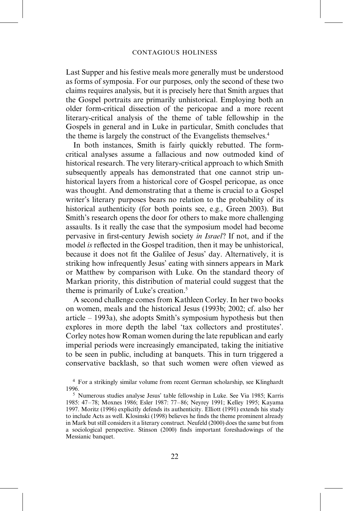Last Supper and his festive meals more generally must be understood as forms of symposia. For our purposes, only the second of these two claims requires analysis, but it is precisely here that Smith argues that the Gospel portraits are primarily unhistorical. Employing both an older form-critical dissection of the pericopae and a more recent literary-critical analysis of the theme of table fellowship in the Gospels in general and in Luke in particular, Smith concludes that the theme is largely the construct of the Evangelists themselves.4

In both instances, Smith is fairly quickly rebutted. The formcritical analyses assume a fallacious and now outmoded kind of historical research. The very literary-critical approach to which Smith subsequently appeals has demonstrated that one cannot strip unhistorical layers from a historical core of Gospel pericopae, as once was thought. And demonstrating that a theme is crucial to a Gospel writer's literary purposes bears no relation to the probability of its historical authenticity (for both points see, e.g., Green 2003). But Smith's research opens the door for others to make more challenging assaults. Is it really the case that the symposium model had become pervasive in first-century Jewish society in Israel? If not, and if the model is reflected in the Gospel tradition, then it may be unhistorical, because it does not fit the Galilee of Jesus' day. Alternatively, it is striking how infrequently Jesus' eating with sinners appears in Mark or Matthew by comparison with Luke. On the standard theory of Markan priority, this distribution of material could suggest that the theme is primarily of Luke's creation.5

A second challenge comes from Kathleen Corley. In her two books on women, meals and the historical Jesus (1993b; 2002; cf. also her article – 1993a), she adopts Smith's symposium hypothesis but then explores in more depth the label 'tax collectors and prostitutes'. Corley notes how Roman women during the late republican and early imperial periods were increasingly emancipated, taking the initiative to be seen in public, including at banquets. This in turn triggered a conservative backlash, so that such women were often viewed as

<sup>4</sup> For a strikingly similar volume from recent German scholarship, see Klinghardt 1996.

<sup>5</sup> Numerous studies analyse Jesus' table fellowship in Luke. See Via 1985; Karris 1985: 47–78; Moxnes 1986; Esler 1987: 77–86; Neyrey 1991; Kelley 1995; Kayama 1997. Moritz (1996) explicitly defends its authenticity. Elliott (1991) extends his study to include Acts as well. Klosinski (1998) believes he finds the theme prominent already in Mark but still considers it a literary construct. Neufeld (2000) does the same but from a sociological perspective. Stinson (2000) finds important foreshadowings of the Messianic banquet.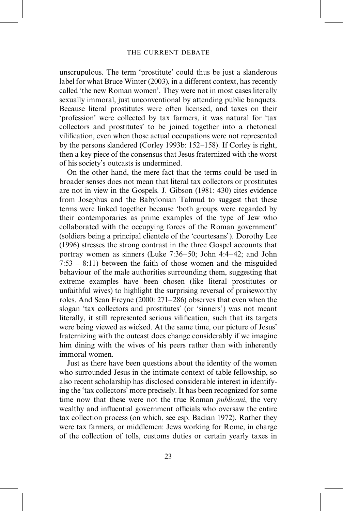unscrupulous. The term 'prostitute' could thus be just a slanderous label for what Bruce Winter (2003), in a different context, has recently called 'the new Roman women'. They were not in most cases literally sexually immoral, just unconventional by attending public banquets. Because literal prostitutes were often licensed, and taxes on their 'profession' were collected by tax farmers, it was natural for 'tax collectors and prostitutes' to be joined together into a rhetorical vilification, even when those actual occupations were not represented by the persons slandered (Corley 1993b: 152–158). If Corley is right, then a key piece of the consensus that Jesus fraternized with the worst of his society's outcasts is undermined.

On the other hand, the mere fact that the terms could be used in broader senses does not mean that literal tax collectors or prostitutes are not in view in the Gospels. J. Gibson (1981: 430) cites evidence from Josephus and the Babylonian Talmud to suggest that these terms were linked together because 'both groups were regarded by their contemporaries as prime examples of the type of Jew who collaborated with the occupying forces of the Roman government' (soldiers being a principal clientele of the 'courtesans'). Dorothy Lee (1996) stresses the strong contrast in the three Gospel accounts that portray women as sinners (Luke 7:36–50; John 4:4–42; and John 7:53 – 8:11) between the faith of those women and the misguided behaviour of the male authorities surrounding them, suggesting that extreme examples have been chosen (like literal prostitutes or unfaithful wives) to highlight the surprising reversal of praiseworthy roles. And Sean Freyne (2000: 271–286) observes that even when the slogan 'tax collectors and prostitutes' (or 'sinners') was not meant literally, it still represented serious vilification, such that its targets were being viewed as wicked. At the same time, our picture of Jesus' fraternizing with the outcast does change considerably if we imagine him dining with the wives of his peers rather than with inherently immoral women.

Just as there have been questions about the identity of the women who surrounded Jesus in the intimate context of table fellowship, so also recent scholarship has disclosed considerable interest in identifying the 'tax collectors' more precisely. It has been recognized for some time now that these were not the true Roman *publicani*, the very wealthy and influential government officials who oversaw the entire tax collection process (on which, see esp. Badian 1972). Rather they were tax farmers, or middlemen: Jews working for Rome, in charge of the collection of tolls, customs duties or certain yearly taxes in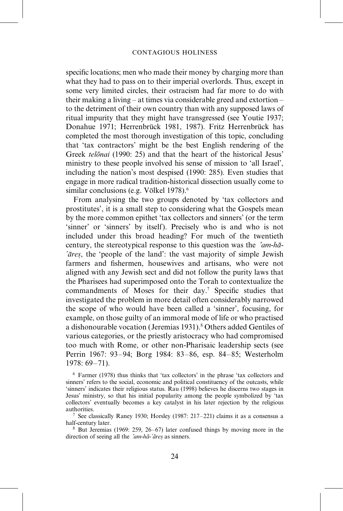specific locations; men who made their money by charging more than what they had to pass on to their imperial overlords. Thus, except in some very limited circles, their ostracism had far more to do with their making a living – at times via considerable greed and extortion – to the detriment of their own country than with any supposed laws of ritual impurity that they might have transgressed (see Youtie 1937; Donahue 1971; Herrenbrück 1981, 1987). Fritz Herrenbrück has completed the most thorough investigation of this topic, concluding that 'tax contractors' might be the best English rendering of the Greek *telonai* (1990: 25) and that the heart of the historical Jesus' ministry to these people involved his sense of mission to 'all Israel', including the nation's most despised (1990: 285). Even studies that engage in more radical tradition-historical dissection usually come to similar conclusions (e.g. Völkel 1978).<sup>6</sup>

From analysing the two groups denoted by 'tax collectors and prostitutes', it is a small step to considering what the Gospels mean by the more common epithet 'tax collectors and sinners' (or the term 'sinner' or 'sinners' by itself). Precisely who is and who is not included under this broad heading? For much of the twentieth century, the stereotypical response to this question was the  $\alpha$ <sup>-ha</sup>-*'ares*, the 'people of the land': the vast majority of simple Jewish farmers and fishermen, housewives and artisans, who were not aligned with any Jewish sect and did not follow the purity laws that the Pharisees had superimposed onto the Torah to contextualize the commandments of Moses for their day.7 Specific studies that investigated the problem in more detail often considerably narrowed the scope of who would have been called a 'sinner', focusing, for example, on those guilty of an immoral mode of life or who practised a dishonourable vocation (Jeremias 1931).8 Others added Gentiles of various categories, or the priestly aristocracy who had compromised too much with Rome, or other non-Pharisaic leadership sects (see Perrin 1967: 93–94; Borg 1984: 83–86, esp. 84–85; Westerholm 1978: 69–71).

<sup>6</sup> Farmer (1978) thus thinks that 'tax collectors' in the phrase 'tax collectors and sinners' refers to the social, economic and political constituency of the outcasts, while 'sinners' indicates their religious status. Rau (1998) believes he discerns two stages in Jesus' ministry, so that his initial popularity among the people symbolized by 'tax collectors' eventually becomes a key catalyst in his later rejection by the religious authorities.

<sup>7</sup> See classically Raney 1930; Horsley (1987: 217–221) claims it as a consensus a half-century later.

<sup>8</sup> But Jeremias (1969: 259, 26–67) later confused things by moving more in the direction of seeing all the 'am-hā-'āres as sinners.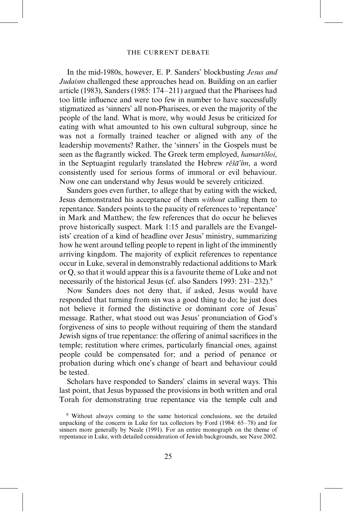#### THE CURRENT DEBATE

In the mid-1980s, however, E. P. Sanders' blockbusting Jesus and Judaism challenged these approaches head on. Building on an earlier article (1983), Sanders (1985: 174–211) argued that the Pharisees had too little influence and were too few in number to have successfully stigmatized as 'sinners' all non-Pharisees, or even the majority of the people of the land. What is more, why would Jesus be criticized for eating with what amounted to his own cultural subgroup, since he was not a formally trained teacher or aligned with any of the leadership movements? Rather, the 'sinners' in the Gospels must be seen as the flagrantly wicked. The Greek term employed, *hamartoloi*, in the Septuagint regularly translated the Hebrew  $r\check{e}\check{s}\check{a}\hat{i}m$ , a word consistently used for serious forms of immoral or evil behaviour. Now one can understand why Jesus would be severely criticized.

Sanders goes even further, to allege that by eating with the wicked, Jesus demonstrated his acceptance of them without calling them to repentance. Sanders points to the paucity of references to 'repentance' in Mark and Matthew; the few references that do occur he believes prove historically suspect. Mark 1:15 and parallels are the Evangelists' creation of a kind of headline over Jesus' ministry, summarizing how he went around telling people to repent in light of the imminently arriving kingdom. The majority of explicit references to repentance occur in Luke, several in demonstrably redactional additions to Mark or Q, so that it would appear this is a favourite theme of Luke and not necessarily of the historical Jesus (cf. also Sanders 1993: 231–232).<sup>9</sup>

Now Sanders does not deny that, if asked, Jesus would have responded that turning from sin was a good thing to do; he just does not believe it formed the distinctive or dominant core of Jesus' message. Rather, what stood out was Jesus' pronunciation of God's forgiveness of sins to people without requiring of them the standard Jewish signs of true repentance: the offering of animal sacrifices in the temple; restitution where crimes, particularly financial ones, against people could be compensated for; and a period of penance or probation during which one's change of heart and behaviour could be tested.

Scholars have responded to Sanders' claims in several ways. This last point, that Jesus bypassed the provisions in both written and oral Torah for demonstrating true repentance via the temple cult and

<sup>9</sup> Without always coming to the same historical conclusions, see the detailed unpacking of the concern in Luke for tax collectors by Ford (1984: 65–78) and for sinners more generally by Neale (1991). For an entire monograph on the theme of repentance in Luke, with detailed consideration of Jewish backgrounds, see Nave 2002.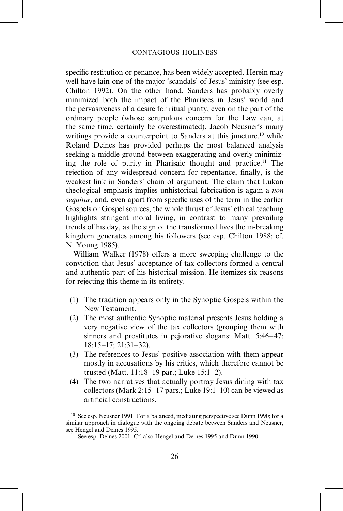specific restitution or penance, has been widely accepted. Herein may well have lain one of the major 'scandals' of Jesus' ministry (see esp. Chilton 1992). On the other hand, Sanders has probably overly minimized both the impact of the Pharisees in Jesus' world and the pervasiveness of a desire for ritual purity, even on the part of the ordinary people (whose scrupulous concern for the Law can, at the same time, certainly be overestimated). Jacob Neusner's many writings provide a counterpoint to Sanders at this juncture,<sup>10</sup> while Roland Deines has provided perhaps the most balanced analysis seeking a middle ground between exaggerating and overly minimizing the role of purity in Pharisaic thought and practice.11 The rejection of any widespread concern for repentance, finally, is the weakest link in Sanders' chain of argument. The claim that Lukan theological emphasis implies unhistorical fabrication is again a non sequitur, and, even apart from specific uses of the term in the earlier Gospels or Gospel sources, the whole thrust of Jesus' ethical teaching highlights stringent moral living, in contrast to many prevailing trends of his day, as the sign of the transformed lives the in-breaking kingdom generates among his followers (see esp. Chilton 1988; cf. N. Young 1985).

William Walker (1978) offers a more sweeping challenge to the conviction that Jesus' acceptance of tax collectors formed a central and authentic part of his historical mission. He itemizes six reasons for rejecting this theme in its entirety.

- (1) The tradition appears only in the Synoptic Gospels within the New Testament.
- (2) The most authentic Synoptic material presents Jesus holding a very negative view of the tax collectors (grouping them with sinners and prostitutes in pejorative slogans: Matt. 5:46–47; 18:15–17; 21:31–32).
- (3) The references to Jesus' positive association with them appear mostly in accusations by his critics, which therefore cannot be trusted (Matt. 11:18–19 par.; Luke 15:1–2).
- (4) The two narratives that actually portray Jesus dining with tax collectors (Mark 2:15–17 pars.; Luke 19:1–10) can be viewed as artificial constructions.

<sup>10</sup> See esp. Neusner 1991. For a balanced, mediating perspective see Dunn 1990; for a similar approach in dialogue with the ongoing debate between Sanders and Neusner, see Hengel and Deines 1995.

<sup>&</sup>lt;sup>11</sup> See esp. Deines 2001. Cf. also Hengel and Deines 1995 and Dunn 1990.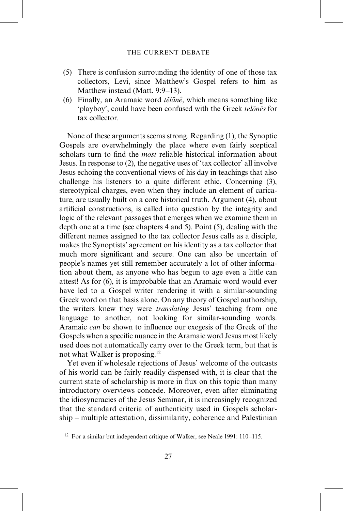#### THE CURRENT DEBATE

- (5) There is confusion surrounding the identity of one of those tax collectors, Levi, since Matthew's Gospel refers to him as Matthew instead (Matt. 9:9–13).
- (6) Finally, an Aramaic word  $t\tilde{e}$ *lanê*, which means something like 'playboy', could have been confused with the Greek telones for tax collector.

None of these arguments seems strong. Regarding (1), the Synoptic Gospels are overwhelmingly the place where even fairly sceptical scholars turn to find the *most* reliable historical information about Jesus. In response to (2), the negative uses of 'tax collector' all involve Jesus echoing the conventional views of his day in teachings that also challenge his listeners to a quite different ethic. Concerning (3), stereotypical charges, even when they include an element of caricature, are usually built on a core historical truth. Argument (4), about artificial constructions, is called into question by the integrity and logic of the relevant passages that emerges when we examine them in depth one at a time (see chapters 4 and 5). Point (5), dealing with the different names assigned to the tax collector Jesus calls as a disciple, makes the Synoptists' agreement on his identity as a tax collector that much more significant and secure. One can also be uncertain of people's names yet still remember accurately a lot of other information about them, as anyone who has begun to age even a little can attest! As for (6), it is improbable that an Aramaic word would ever have led to a Gospel writer rendering it with a similar-sounding Greek word on that basis alone. On any theory of Gospel authorship, the writers knew they were translating Jesus' teaching from one language to another, not looking for similar-sounding words. Aramaic can be shown to influence our exegesis of the Greek of the Gospels when a specific nuance in the Aramaic word Jesus most likely used does not automatically carry over to the Greek term, but that is not what Walker is proposing.12

Yet even if wholesale rejections of Jesus' welcome of the outcasts of his world can be fairly readily dispensed with, it is clear that the current state of scholarship is more in flux on this topic than many introductory overviews concede. Moreover, even after eliminating the idiosyncracies of the Jesus Seminar, it is increasingly recognized that the standard criteria of authenticity used in Gospels scholarship – multiple attestation, dissimilarity, coherence and Palestinian

<sup>12</sup> For a similar but independent critique of Walker, see Neale 1991: 110–115.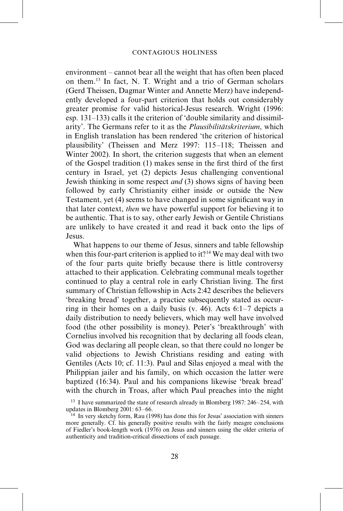environment – cannot bear all the weight that has often been placed on them.13 In fact, N. T. Wright and a trio of German scholars (Gerd Theissen, Dagmar Winter and Annette Merz) have independently developed a four-part criterion that holds out considerably greater promise for valid historical-Jesus research. Wright (1996: esp. 131–133) calls it the criterion of 'double similarity and dissimilarity'. The Germans refer to it as the *Plausibilitätskriterium*, which in English translation has been rendered 'the criterion of historical plausibility' (Theissen and Merz 1997: 115–118; Theissen and Winter 2002). In short, the criterion suggests that when an element of the Gospel tradition (1) makes sense in the first third of the first century in Israel, yet (2) depicts Jesus challenging conventional Jewish thinking in some respect and (3) shows signs of having been followed by early Christianity either inside or outside the New Testament, yet (4) seems to have changed in some significant way in that later context, then we have powerful support for believing it to be authentic. That is to say, other early Jewish or Gentile Christians are unlikely to have created it and read it back onto the lips of Jesus.

What happens to our theme of Jesus, sinners and table fellowship when this four-part criterion is applied to it?<sup>14</sup> We may deal with two of the four parts quite briefly because there is little controversy attached to their application. Celebrating communal meals together continued to play a central role in early Christian living. The first summary of Christian fellowship in Acts 2:42 describes the believers 'breaking bread' together, a practice subsequently stated as occurring in their homes on a daily basis (v. 46). Acts 6:1–7 depicts a daily distribution to needy believers, which may well have involved food (the other possibility is money). Peter's 'breakthrough' with Cornelius involved his recognition that by declaring all foods clean, God was declaring all people clean, so that there could no longer be valid objections to Jewish Christians residing and eating with Gentiles (Acts 10; cf. 11:3). Paul and Silas enjoyed a meal with the Philippian jailer and his family, on which occasion the latter were baptized (16:34). Paul and his companions likewise 'break bread' with the church in Troas, after which Paul preaches into the night

<sup>13</sup> I have summarized the state of research already in Blomberg 1987: 246–254, with updates in Blomberg 2001: 63–66.

<sup>14</sup> In very sketchy form, Rau (1998) has done this for Jesus' association with sinners more generally. Cf. his generally positive results with the fairly meagre conclusions of Fiedler's book-length work (1976) on Jesus and sinners using the older criteria of authenticity and tradition-critical dissections of each passage.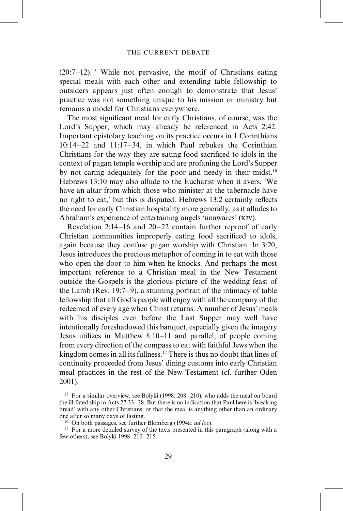$(20:7-12)$ <sup>15</sup> While not pervasive, the motif of Christians eating special meals with each other and extending table fellowship to outsiders appears just often enough to demonstrate that Jesus' practice was not something unique to his mission or ministry but remains a model for Christians everywhere.

The most significant meal for early Christians, of course, was the Lord's Supper, which may already be referenced in Acts 2:42. Important epistolary teaching on its practice occurs in 1 Corinthians 10:14–22 and 11:17–34, in which Paul rebukes the Corinthian Christians for the way they are eating food sacrificed to idols in the context of pagan temple worship and are profaning the Lord's Supper by not caring adequately for the poor and needy in their midst.<sup>16</sup> Hebrews 13:10 may also allude to the Eucharist when it avers, 'We have an altar from which those who minister at the tabernacle have no right to eat,' but this is disputed. Hebrews 13:2 certainly reflects the need for early Christian hospitality more generally, as it alludes to Abraham's experience of entertaining angels 'unawares' (kjv).

Revelation 2:14–16 and 20–22 contain further reproof of early Christian communities improperly eating food sacrificed to idols, again because they confuse pagan worship with Christian. In 3:20, Jesus introduces the precious metaphor of coming in to eat with those who open the door to him when he knocks. And perhaps the most important reference to a Christian meal in the New Testament outside the Gospels is the glorious picture of the wedding feast of the Lamb (Rev. 19:7–9), a stunning portrait of the intimacy of table fellowship that all God's people will enjoy with all the company of the redeemed of every age when Christ returns. A number of Jesus' meals with his disciples even before the Last Supper may well have intentionally foreshadowed this banquet, especially given the imagery Jesus utilizes in Matthew 8:10–11 and parallel, of people coming from every direction of the compass to eat with faithful Jews when the kingdom comes in all its fullness.17 There is thus no doubt that lines of continuity proceeded from Jesus' dining customs into early Christian meal practices in the rest of the New Testament (cf. further Oden 2001).

<sup>15</sup> For a similar overview, see Bolyki (1998: 208–210), who adds the meal on board the ill-fated ship in Acts 27:33–38. But there is no indication that Paul here is 'breaking bread' with any other Christians, or that the meal is anything other than an ordinary one after so many days of fasting.

<sup>&</sup>lt;sup>16</sup> On both passages, see further Blomberg (1994a: *ad loc*).

<sup>&</sup>lt;sup>17</sup> For a more detailed survey of the texts presented in this paragraph (along with a few others), see Bolyki 1998: 210–215.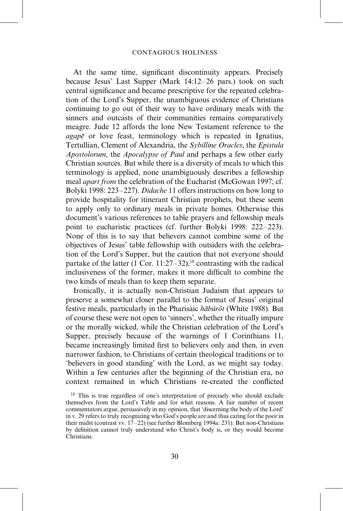At the same time, significant discontinuity appears. Precisely because Jesus' Last Supper (Mark 14:12–26 pars.) took on such central significance and became prescriptive for the repeated celebration of the Lord's Supper, the unambiguous evidence of Christians continuing to go out of their way to have ordinary meals with the sinners and outcasts of their communities remains comparatively meagre. Jude 12 affords the lone New Testament reference to the  $a\alpha\overline{p}\overline{e}$  or love feast, terminology which is repeated in Ignatius, Tertullian, Clement of Alexandria, the Sybilline Oracles, the Epistula Apostolorum, the Apocalypse of Paul and perhaps a few other early Christian sources. But while there is a diversity of meals to which this terminology is applied, none unambiguously describes a fellowship meal apart from the celebration of the Eucharist (McGowan 1997; cf. Bolyki 1998: 223–227). Didache 11 offers instructions on how long to provide hospitality for itinerant Christian prophets, but these seem to apply only to ordinary meals in private homes. Otherwise this document's various references to table prayers and fellowship meals point to eucharistic practices (cf. further Bolyki 1998: 222–223). None of this is to say that believers cannot combine some of the objectives of Jesus' table fellowship with outsiders with the celebration of the Lord's Supper, but the caution that not everyone should partake of the latter (1 Cor. 11:27–32),<sup>18</sup> contrasting with the radical inclusiveness of the former, makes it more difficult to combine the two kinds of meals than to keep them separate.

Ironically, it is actually non-Christian Judaism that appears to preserve a somewhat closer parallel to the format of Jesus' original festive meals, particularly in the Pharisaic  $h\bar{a}b\hat{u}r\hat{o}t$  (White 1988). But of course these were not open to 'sinners', whether the ritually impure or the morally wicked, while the Christian celebration of the Lord's Supper, precisely because of the warnings of 1 Corinthians 11, became increasingly limited first to believers only and then, in even narrower fashion, to Christians of certain theological traditions or to 'believers in good standing' with the Lord, as we might say today. Within a few centuries after the beginning of the Christian era, no context remained in which Christians re-created the conflicted

<sup>18</sup> This is true regardless of one's interpretation of precisely who should exclude themselves from the Lord's Table and for what reasons. A fair number of recent commentators argue, persuasively in my opinion, that 'discerning the body of the Lord' in v. 29 refers to truly recognizing who God's people are and thus caring for the poor in their midst (contrast vv. 17–22) (see further Blomberg 1994a: 231). But non-Christians by definition cannot truly understand who Christ's body is, or they would become Christians.